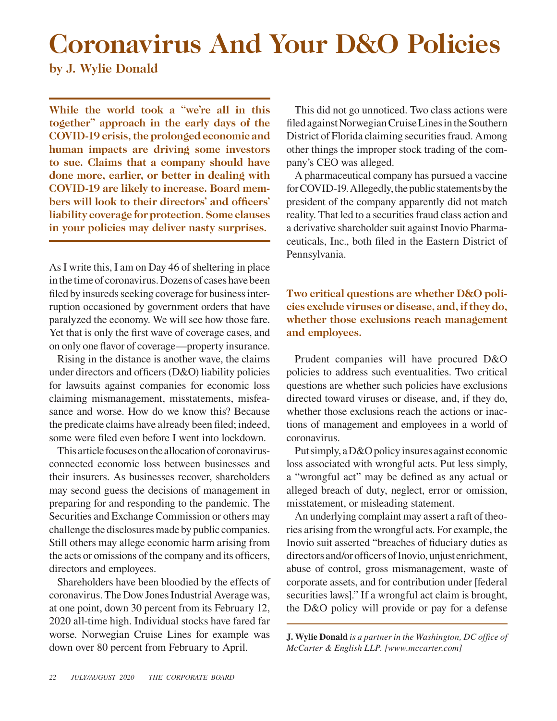## **Coronavirus And Your D&O Policies**

**by J. Wylie Donald**

**While the world took a "we're all in this together" approach in the early days of the COVID-19 crisis, the prolonged economic and human impacts are driving some investors to sue. Claims that a company should have done more, earlier, or better in dealing with COVID-19 are likely to increase. Board members will look to their directors' and officers' liability coverage for protection. Some clauses in your policies may deliver nasty surprises.**

As I write this, I am on Day 46 of sheltering in place in the time of coronavirus. Dozens of cases have been filed by insureds seeking coverage for business interruption occasioned by government orders that have paralyzed the economy. We will see how those fare. Yet that is only the first wave of coverage cases, and on only one flavor of coverage—property insurance.

Rising in the distance is another wave, the claims under directors and officers (D&O) liability policies for lawsuits against companies for economic loss claiming mismanagement, misstatements, misfeasance and worse. How do we know this? Because the predicate claims have already been filed; indeed, some were filed even before I went into lockdown.

This article focuses on the allocation of coronavirusconnected economic loss between businesses and their insurers. As businesses recover, shareholders may second guess the decisions of management in preparing for and responding to the pandemic. The Securities and Exchange Commission or others may challenge the disclosures made by public companies. Still others may allege economic harm arising from the acts or omissions of the company and its officers, directors and employees.

Shareholders have been bloodied by the effects of coronavirus. The Dow Jones Industrial Average was, at one point, down 30 percent from its February 12, 2020 all-time high. Individual stocks have fared far worse. Norwegian Cruise Lines for example was down over 80 percent from February to April.

This did not go unnoticed. Two class actions were filed against Norwegian Cruise Lines in the Southern District of Florida claiming securities fraud. Among other things the improper stock trading of the company's CEO was alleged.

A pharmaceutical company has pursued a vaccine for COVID-19. Allegedly, the public statements by the president of the company apparently did not match reality. That led to a securities fraud class action and a derivative shareholder suit against Inovio Pharmaceuticals, Inc., both filed in the Eastern District of Pennsylvania.

**Two critical questions are whether D&O policies exclude viruses or disease, and, if they do, whether those exclusions reach management and employees.**

Prudent companies will have procured D&O policies to address such eventualities. Two critical questions are whether such policies have exclusions directed toward viruses or disease, and, if they do, whether those exclusions reach the actions or inactions of management and employees in a world of coronavirus.

Put simply, a D&O policy insures against economic loss associated with wrongful acts. Put less simply, a "wrongful act" may be defined as any actual or alleged breach of duty, neglect, error or omission, misstatement, or misleading statement.

An underlying complaint may assert a raft of theories arising from the wrongful acts. For example, the Inovio suit asserted "breaches of fiduciary duties as directors and/or officers of Inovio, unjust enrichment, abuse of control, gross mismanagement, waste of corporate assets, and for contribution under [federal securities laws]." If a wrongful act claim is brought, the D&O policy will provide or pay for a defense

**J. Wylie Donald** *is a partner in the Washington, DC office of McCarter & English LLP. [www.mccarter.com]*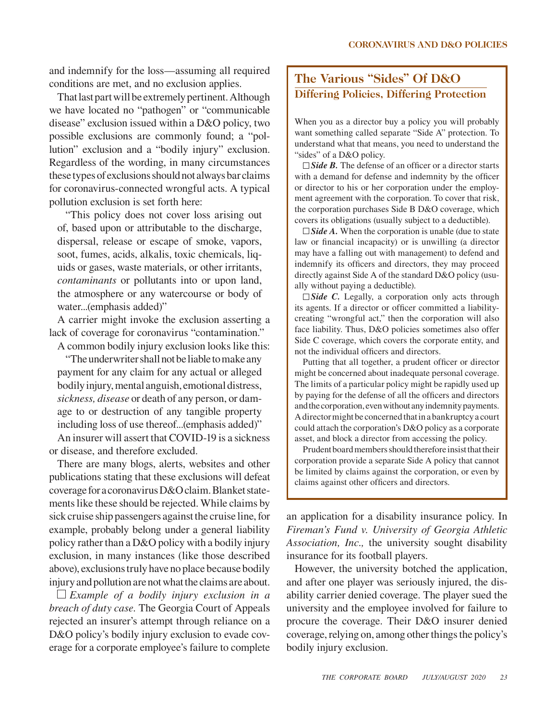and indemnify for the loss—assuming all required conditions are met, and no exclusion applies.

That last part will be extremely pertinent. Although we have located no "pathogen" or "communicable disease" exclusion issued within a D&O policy, two possible exclusions are commonly found; a "pollution" exclusion and a "bodily injury" exclusion. Regardless of the wording, in many circumstances these types of exclusions should not always bar claims for coronavirus-connected wrongful acts. A typical pollution exclusion is set forth here:

"This policy does not cover loss arising out of, based upon or attributable to the discharge, dispersal, release or escape of smoke, vapors, soot, fumes, acids, alkalis, toxic chemicals, liquids or gases, waste materials, or other irritants, *contaminants* or pollutants into or upon land, the atmosphere or any watercourse or body of water...(emphasis added)"

A carrier might invoke the exclusion asserting a lack of coverage for coronavirus "contamination."

A common bodily injury exclusion looks like this:

"The underwriter shall not be liable to make any payment for any claim for any actual or alleged bodily injury, mental anguish, emotional distress, *sickness, disease* or death of any person, or damage to or destruction of any tangible property including loss of use thereof...(emphasis added)" An insurer will assert that COVID-19 is a sickness

or disease, and therefore excluded.

There are many blogs, alerts, websites and other publications stating that these exclusions will defeat coverage for a coronavirus D&O claim. Blanket statements like these should be rejected. While claims by sick cruise ship passengers against the cruise line, for example, probably belong under a general liability policy rather than a D&O policy with a bodily injury exclusion, in many instances (like those described above), exclusions truly have no place because bodily injury and pollution are not what the claims are about.

*Example of a bodily injury exclusion in a breach of duty case.* The Georgia Court of Appeals rejected an insurer's attempt through reliance on a D&O policy's bodily injury exclusion to evade coverage for a corporate employee's failure to complete

## **The Various "Sides" Of D&O Differing Policies, Differing Protection**

When you as a director buy a policy you will probably want something called separate "Side A" protection. To understand what that means, you need to understand the "sides" of a D&O policy.

□ *Side B*. The defense of an officer or a director starts with a demand for defense and indemnity by the officer or director to his or her corporation under the employment agreement with the corporation. To cover that risk, the corporation purchases Side B D&O coverage, which covers its obligations (usually subject to a deductible).

 $\Box$  *Side A*. When the corporation is unable (due to state law or financial incapacity) or is unwilling (a director may have a falling out with management) to defend and indemnify its officers and directors, they may proceed directly against Side A of the standard D&O policy (usually without paying a deductible).

□ *Side C.* Legally, a corporation only acts through its agents. If a director or officer committed a liabilitycreating "wrongful act," then the corporation will also face liability. Thus, D&O policies sometimes also offer Side C coverage, which covers the corporate entity, and not the individual officers and directors.

Putting that all together, a prudent officer or director might be concerned about inadequate personal coverage. The limits of a particular policy might be rapidly used up by paying for the defense of all the officers and directors and the corporation, even without any indemnity payments. A director might be concerned that in a bankruptcy a court could attach the corporation's D&O policy as a corporate asset, and block a director from accessing the policy.

Prudent board members should therefore insist that their corporation provide a separate Side A policy that cannot be limited by claims against the corporation, or even by claims against other officers and directors.

an application for a disability insurance policy. In *Fireman's Fund v. University of Georgia Athletic Association, Inc.,* the university sought disability insurance for its football players.

However, the university botched the application, and after one player was seriously injured, the disability carrier denied coverage. The player sued the university and the employee involved for failure to procure the coverage. Their D&O insurer denied coverage, relying on, among other things the policy's bodily injury exclusion.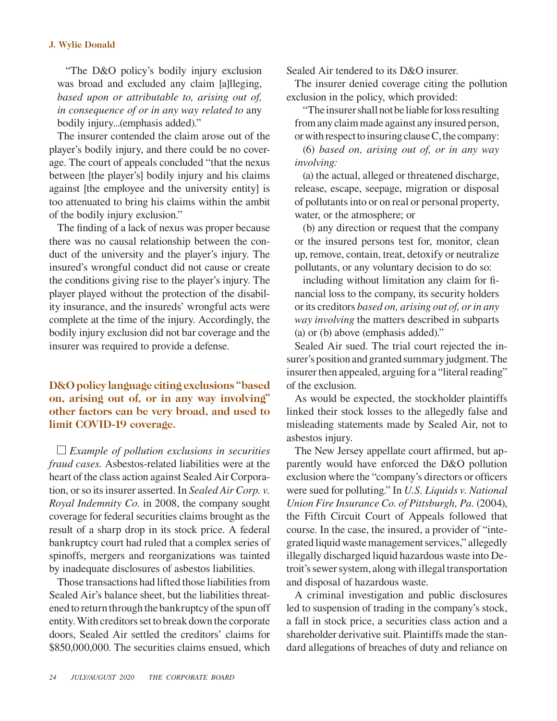## **J. Wylie Donald**

"The D&O policy's bodily injury exclusion was broad and excluded any claim [a]lleging, *based upon or attributable to, arising out of, in consequence of or in any way related to* any bodily injury...(emphasis added)."

The insurer contended the claim arose out of the player's bodily injury, and there could be no coverage. The court of appeals concluded "that the nexus between [the player's] bodily injury and his claims against [the employee and the university entity] is too attenuated to bring his claims within the ambit of the bodily injury exclusion."

The finding of a lack of nexus was proper because there was no causal relationship between the conduct of the university and the player's injury. The insured's wrongful conduct did not cause or create the conditions giving rise to the player's injury. The player played without the protection of the disability insurance, and the insureds' wrongful acts were complete at the time of the injury. Accordingly, the bodily injury exclusion did not bar coverage and the insurer was required to provide a defense.

**D&O policy language citing exclusions "based on, arising out of, or in any way involving" other factors can be very broad, and used to limit COVID-19 coverage.**

*Example of pollution exclusions in securities fraud cases.* Asbestos-related liabilities were at the heart of the class action against Sealed Air Corporation, or so its insurer asserted. In *Sealed Air Corp. v. Royal Indemnity Co.* in 2008, the company sought coverage for federal securities claims brought as the result of a sharp drop in its stock price. A federal bankruptcy court had ruled that a complex series of spinoffs, mergers and reorganizations was tainted by inadequate disclosures of asbestos liabilities.

Those transactions had lifted those liabilities from Sealed Air's balance sheet, but the liabilities threatened to return through the bankruptcy of the spun off entity. With creditors set to break down the corporate doors, Sealed Air settled the creditors' claims for \$850,000,000. The securities claims ensued, which Sealed Air tendered to its D&O insurer.

The insurer denied coverage citing the pollution exclusion in the policy, which provided:

"The insurer shall not be liable for loss resulting from any claim made against any insured person, or with respect to insuring clause C, the company:

(6) *based on, arising out of, or in any way involving:*

(a) the actual, alleged or threatened discharge, release, escape, seepage, migration or disposal of pollutants into or on real or personal property, water, or the atmosphere; or

(b) any direction or request that the company or the insured persons test for, monitor, clean up, remove, contain, treat, detoxify or neutralize pollutants, or any voluntary decision to do so:

including without limitation any claim for financial loss to the company, its security holders or its creditors *based on, arising out of, or in any way involving* the matters described in subparts (a) or (b) above (emphasis added)."

Sealed Air sued. The trial court rejected the insurer's position and granted summary judgment. The insurer then appealed, arguing for a "literal reading" of the exclusion.

As would be expected, the stockholder plaintiffs linked their stock losses to the allegedly false and misleading statements made by Sealed Air, not to asbestos injury.

The New Jersey appellate court affirmed, but apparently would have enforced the D&O pollution exclusion where the "company's directors or officers were sued for polluting." In *U.S. Liquids v. National Union Fire Insurance Co. of Pittsburgh, Pa.* (2004), the Fifth Circuit Court of Appeals followed that course. In the case, the insured, a provider of "integrated liquid waste management services," allegedly illegally discharged liquid hazardous waste into Detroit's sewer system, along with illegal transportation and disposal of hazardous waste.

A criminal investigation and public disclosures led to suspension of trading in the company's stock, a fall in stock price, a securities class action and a shareholder derivative suit. Plaintiffs made the standard allegations of breaches of duty and reliance on